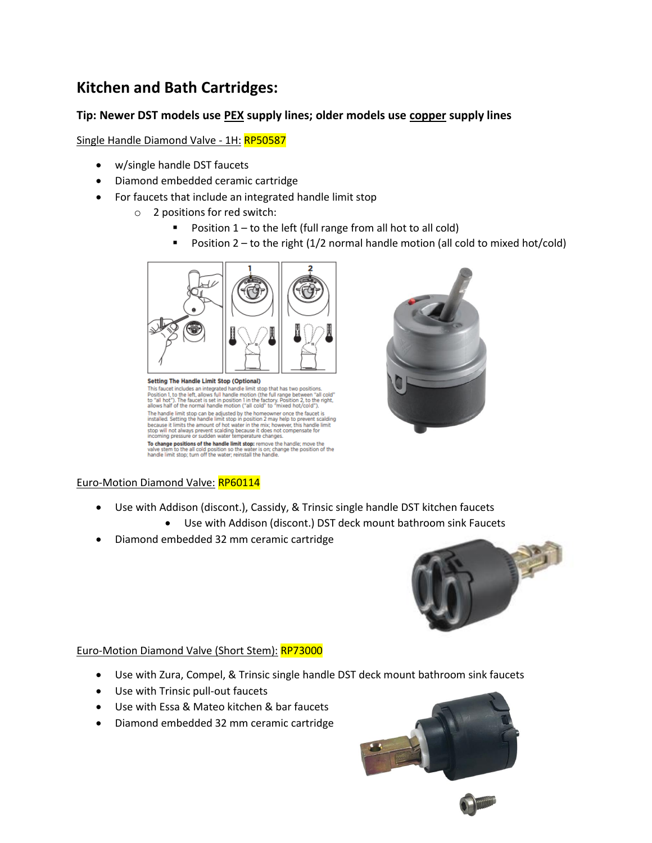# **Kitchen and Bath Cartridges:**

## **Tip: Newer DST models use PEX supply lines; older models use copper supply lines**

Single Handle Diamond Valve - 1H: RP50587

- w/single handle DST faucets
- Diamond embedded ceramic cartridge
- For faucets that include an integrated handle limit stop
	- o 2 positions for red switch:
		- **•** Position  $1 -$  to the left (full range from all hot to all cold)
		- **•** Position 2 to the right  $(1/2$  normal handle motion (all cold to mixed hot/cold)



Security The Faulth interpreted handle limit stop that has two positions.<br>This faucet includes an integrated handle limit stop that has two positions.<br>Position 1, to the left, allows full handle motion (the full range betw allows and or the normal nanuel motion of call court of the handle limit stop can be adjusted by the homeowner once the faucet is installed. Setting the handle limit stop in position 2 may help to prevent scalding because

To change positions of the handle limit stop: remove the handle; move the valve stem to the all cold position so the water is on; change the position of the handle limit stop; turn off the water; reinstall the handle.

## Euro-Motion Diamond Valve: RP60114

- Use with Addison (discont.), Cassidy, & Trinsic single handle DST kitchen faucets
	- Use with Addison (discont.) DST deck mount bathroom sink Faucets
- Diamond embedded 32 mm ceramic cartridge



#### Euro-Motion Diamond Valve (Short Stem): RP73000

- Use with Zura, Compel, & Trinsic single handle DST deck mount bathroom sink faucets
- Use with Trinsic pull-out faucets
- Use with Essa & Mateo kitchen & bar faucets
- Diamond embedded 32 mm ceramic cartridge

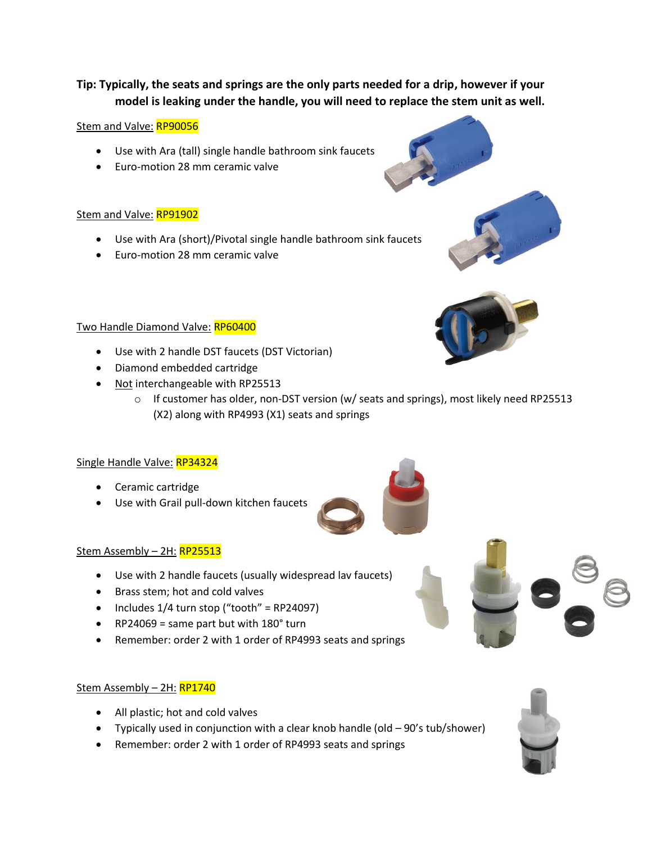## **Tip: Typically, the seats and springs are the only parts needed for a drip, however if your model is leaking under the handle, you will need to replace the stem unit as well.**

#### Stem and Valve: RP90056

- Use with Ara (tall) single handle bathroom sink faucets
- Euro-motion 28 mm ceramic valve

#### Stem and Valve: RP91902

- Use with Ara (short)/Pivotal single handle bathroom sink faucets
- Euro-motion 28 mm ceramic valve

#### Two Handle Diamond Valve: RP60400

- Use with 2 handle DST faucets (DST Victorian)
- Diamond embedded cartridge
- Not interchangeable with RP25513
	- $\circ$  If customer has older, non-DST version (w/ seats and springs), most likely need RP25513 (X2) along with RP4993 (X1) seats and springs

## Single Handle Valve: RP34324

- Ceramic cartridge
- Use with Grail pull-down kitchen faucets

## Stem Assembly - 2H: RP25513

- Use with 2 handle faucets (usually widespread lav faucets)
- Brass stem; hot and cold valves
- Includes  $1/4$  turn stop ("tooth" = RP24097)
- RP24069 = same part but with  $180^\circ$  turn
- Remember: order 2 with 1 order of RP4993 seats and springs

#### Stem Assembly - 2H: RP1740

- All plastic; hot and cold valves
- Typically used in conjunction with a clear knob handle (old 90's tub/shower)
- Remember: order 2 with 1 order of RP4993 seats and springs







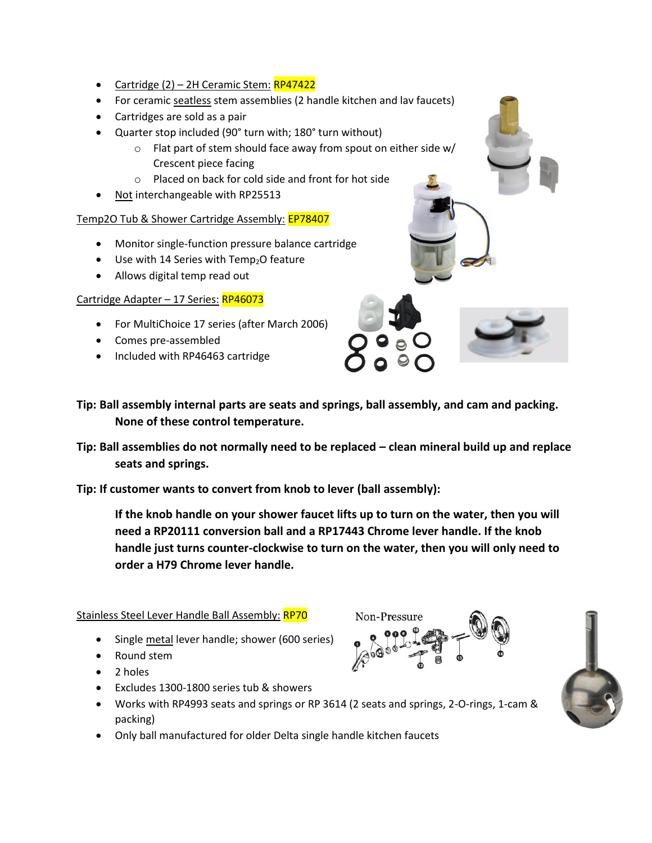- Cartridge  $(2)$  2H Ceramic Stem:  $RP47422$
- For ceramic seatless stem assemblies (2 handle kitchen and lav faucets)
- Cartridges are sold as a pair
- Quarter stop included (90° turn with; 180° turn without)
	- o Flat part of stem should face away from spout on either side w/ Crescent piece facing
	- o Placed on back for cold side and front for hot side
- Not interchangeable with RP25513

## Temp2O Tub & Shower Cartridge Assembly: EP78407

- Monitor single-function pressure balance cartridge
- $\bullet$  Use with 14 Series with Temp<sub>2</sub>O feature
- Allows digital temp read out

## Cartridge Adapter - 17 Series: RP46073

- For MultiChoice 17 series (after March 2006)
- Comes pre-assembled
- Included with RP46463 cartridge
- **Tip: Ball assembly internal parts are seats and springs, ball assembly, and cam and packing. None of these control temperature.**
- **Tip: Ball assemblies do not normally need to be replaced – clean mineral build up and replace seats and springs.**

**Tip: If customer wants to convert from knob to lever (ball assembly):**

**If the knob handle on your shower faucet lifts up to turn on the water, then you will need a RP20111 conversion ball and a RP17443 Chrome lever handle. If the knob handle just turns counter-clockwise to turn on the water, then you will only need to order a H79 Chrome lever handle.**

## Stainless Steel Lever Handle Ball Assembly: RP70

- Single metal lever handle; shower (600 series)
- Round stem
- 2 holes
- Excludes 1300-1800 series tub & showers
- Works with RP4993 seats and springs or RP 3614 (2 seats and springs, 2-O-rings, 1-cam & packing)
- Only ball manufactured for older Delta single handle kitchen faucets